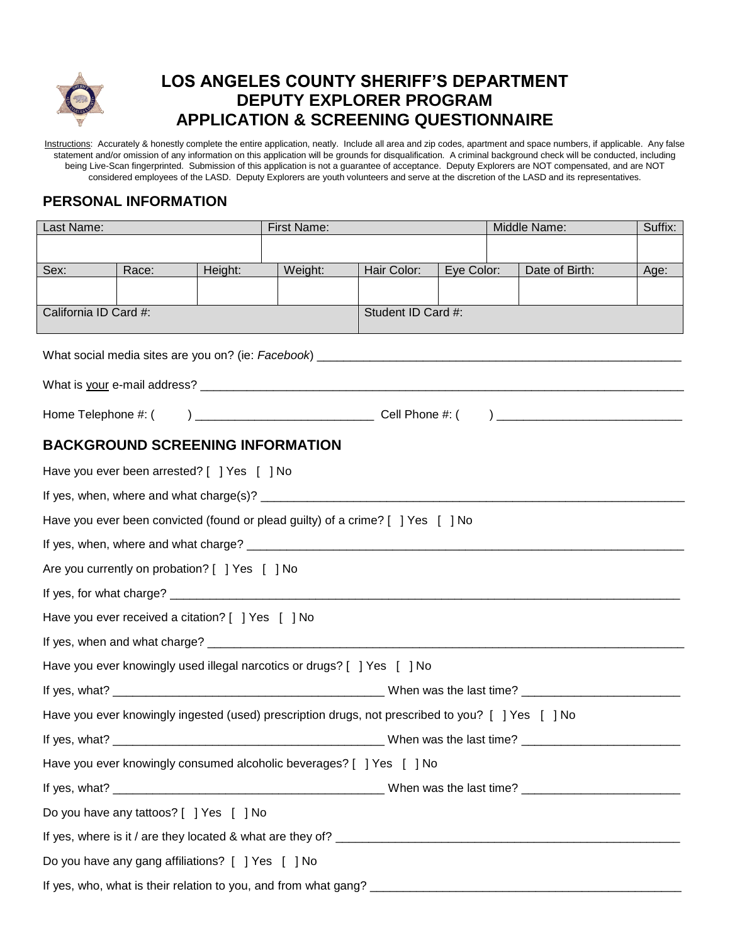

# **LOS ANGELES COUNTY SHERIFF'S DEPARTMENT DEPUTY EXPLORER PROGRAM APPLICATION & SCREENING QUESTIONNAIRE**

Instructions: Accurately & honestly complete the entire application, neatly. Include all area and zip codes, apartment and space numbers, if applicable. Any false statement and/or omission of any information on this application will be grounds for disqualification. A criminal background check will be conducted, including being Live-Scan fingerprinted. Submission of this application is not a guarantee of acceptance. Deputy Explorers are NOT compensated, and are NOT considered employees of the LASD. Deputy Explorers are youth volunteers and serve at the discretion of the LASD and its representatives.

### **PERSONAL INFORMATION**

| Last Name:                                                                                        |                                                   |         | First Name: |                    |            |  | Middle Name:<br>Suffix: |      |  |
|---------------------------------------------------------------------------------------------------|---------------------------------------------------|---------|-------------|--------------------|------------|--|-------------------------|------|--|
|                                                                                                   |                                                   |         |             |                    |            |  |                         |      |  |
| Sex:                                                                                              | Race:                                             | Height: | Weight:     | Hair Color:        | Eye Color: |  | Date of Birth:          | Age: |  |
|                                                                                                   |                                                   |         |             |                    |            |  |                         |      |  |
| California ID Card #:                                                                             |                                                   |         |             | Student ID Card #: |            |  |                         |      |  |
|                                                                                                   |                                                   |         |             |                    |            |  |                         |      |  |
|                                                                                                   |                                                   |         |             |                    |            |  |                         |      |  |
|                                                                                                   |                                                   |         |             |                    |            |  |                         |      |  |
|                                                                                                   |                                                   |         |             |                    |            |  |                         |      |  |
|                                                                                                   | <b>BACKGROUND SCREENING INFORMATION</b>           |         |             |                    |            |  |                         |      |  |
|                                                                                                   | Have you ever been arrested? [ ] Yes [ ] No       |         |             |                    |            |  |                         |      |  |
|                                                                                                   |                                                   |         |             |                    |            |  |                         |      |  |
| Have you ever been convicted (found or plead guilty) of a crime? [ ] Yes [ ] No                   |                                                   |         |             |                    |            |  |                         |      |  |
|                                                                                                   |                                                   |         |             |                    |            |  |                         |      |  |
| Are you currently on probation? [ ] Yes [ ] No                                                    |                                                   |         |             |                    |            |  |                         |      |  |
|                                                                                                   |                                                   |         |             |                    |            |  |                         |      |  |
|                                                                                                   | Have you ever received a citation? [ ] Yes [ ] No |         |             |                    |            |  |                         |      |  |
|                                                                                                   |                                                   |         |             |                    |            |  |                         |      |  |
| Have you ever knowingly used illegal narcotics or drugs? [ ] Yes [ ] No                           |                                                   |         |             |                    |            |  |                         |      |  |
|                                                                                                   |                                                   |         |             |                    |            |  |                         |      |  |
| Have you ever knowingly ingested (used) prescription drugs, not prescribed to you? [ ] Yes [ ] No |                                                   |         |             |                    |            |  |                         |      |  |
|                                                                                                   |                                                   |         |             |                    |            |  |                         |      |  |
| Have you ever knowingly consumed alcoholic beverages? [ ] Yes [ ] No                              |                                                   |         |             |                    |            |  |                         |      |  |
|                                                                                                   |                                                   |         |             |                    |            |  |                         |      |  |
| Do you have any tattoos? [ ] Yes [ ] No                                                           |                                                   |         |             |                    |            |  |                         |      |  |
|                                                                                                   |                                                   |         |             |                    |            |  |                         |      |  |
| Do you have any gang affiliations? [ ] Yes [ ] No                                                 |                                                   |         |             |                    |            |  |                         |      |  |
|                                                                                                   |                                                   |         |             |                    |            |  |                         |      |  |